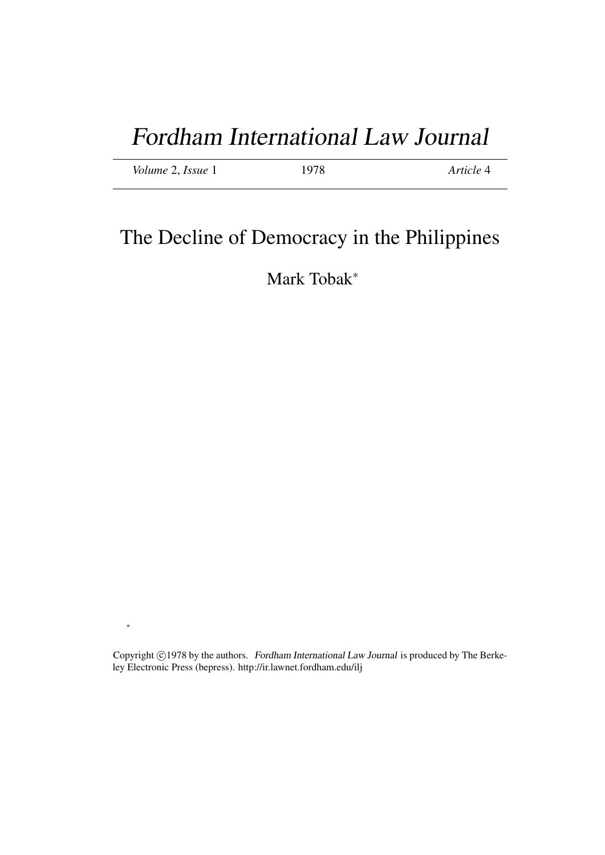## Fordham International Law Journal

*Volume* 2, *Issue* 1 1978 *Article* 4

## The Decline of Democracy in the Philippines

Mark Tobak<sup>∗</sup>

Copyright ©1978 by the authors. Fordham International Law Journal is produced by The Berkeley Electronic Press (bepress). http://ir.lawnet.fordham.edu/ilj

∗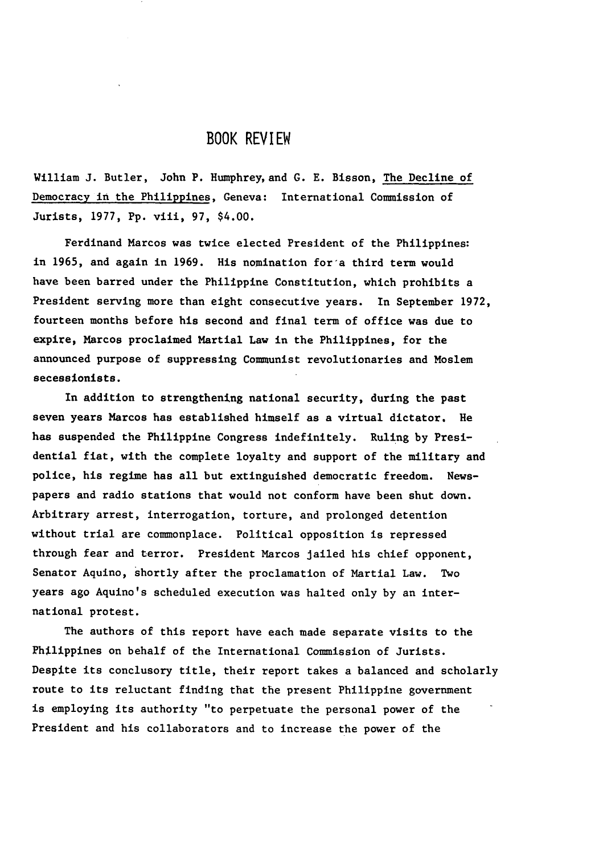## BOOK REVIEW

William **J.** Butler, John P. Humphrey, and G. E. Bisson, The Decline of Democracy in the Philippines, Geneva: International Commission of Jurists, 1977, Pp. viii, 97, \$4.00.

Ferdinand Marcos was twice elected President of the Philippines: in 1965, and again in 1969. His nomination for'a third term would have been barred under the Philippine Constitution, which prohibits a President serving more than eight consecutive years. In September 1972, fourteen months before his second and final term of office was due to expire, Marcos proclaimed Martial Law in the Philippines, for the announced purpose of suppressing Communist revolutionaries and Moslem secessionists.

In addition to strengthening national security, during the past seven years Marcos has established himself as a virtual dictator. He has suspended the Philippine Congress indefinitely. Ruling by Presidential fiat, with the complete loyalty and support of the military and police, his regime has all but extinguished democratic freedom. Newspapers and radio stations that would not conform have been shut down. Arbitrary arrest, interrogation, torture, and prolonged detention without trial are commonplace. Political opposition is repressed through fear and terror. President Marcos jailed his chief opponent, Senator Aquino, shortly after the proclamation of Martial Law. Two years ago Aquino's scheduled execution was halted only by an international protest.

The authors of this report have each made separate visits to the Philippines on behalf of the International Commission of Jurists. Despite its conclusory title, their report takes a balanced and scholarly route to its reluctant finding that the present Philippine government is employing its authority "to perpetuate the personal power of the President and his collaborators and to increase the power of the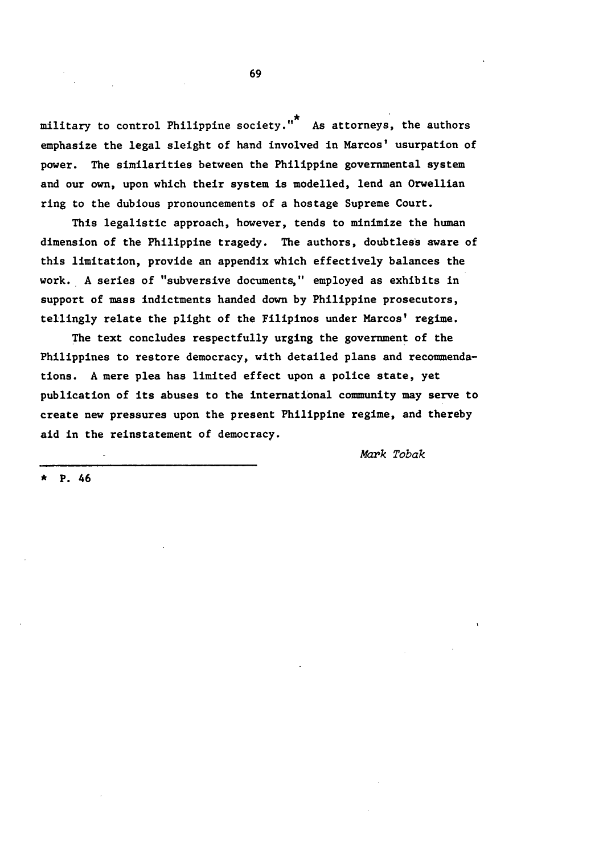military to control Philippine society."<sup>\*</sup> As attorneys, the authors emphasize the legal sleight of hand involved in Marcos' usurpation of power. The similarities between the Philippine governmental system and our own, upon which their system is modelled, lend an Orwellian ring to the dubious pronouncements of a hostage Supreme Court.

This legalistic approach, however, tends to minimize the human dimension of the Philippine tragedy. The authors, doubtless aware of this limitation, provide an appendix which effectively balances the work. A series of "subversive documents," employed as exhibits in support of mass indictments handed down by Philippine prosecutors, tellingly relate the plight of the Filipinos under Marcos' regime.

The text concludes respectfully urging the government of the Philippines to restore democracy, with detailed plans and recommendations. A mere plea has limited effect upon a police state, yet publication of its abuses to the international community may serve to create new pressures upon the present Philippine regime, and thereby aid in the reinstatement of democracy.

Mark Tobak

**\*** P. 46